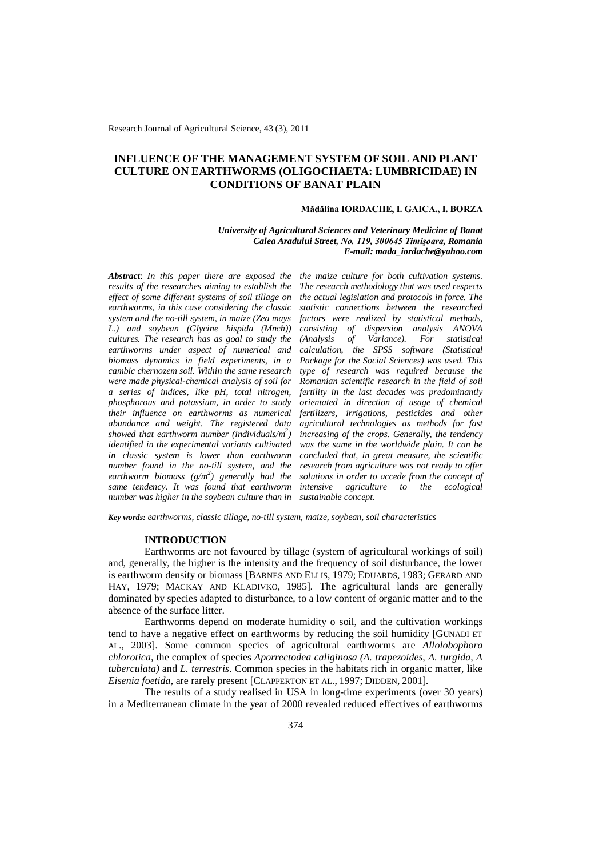# **INFLUENCE OF THE MANAGEMENT SYSTEM OF SOIL AND PLANT CULTURE ON EARTHWORMS (OLIGOCHAETA: LUMBRICIDAE) IN CONDITIONS OF BANAT PLAIN**

## **Mădălina IORDACHE, I. GAICA., I. BORZA**

#### *University of Agricultural Sciences and Veterinary Medicine of Banat Calea Aradului Street, No. 119, 300645 Timişoara, Romania E-mail: mada\_iordache@yahoo.com*

*Abstract*: *In this paper there are exposed the results of the researches aiming to establish the effect of some different systems of soil tillage on earthworms, in this case considering the classic system and the no-till system, in maize (Zea mays L.) and soybean (Glycine hispida (Mnch)) cultures. The research has as goal to study the earthworms under aspect of numerical and biomass dynamics in field experiments, in a cambic chernozem soil. Within the same research were made physical-chemical analysis of soil for a series of indices, like pH, total nitrogen, phosphorous and potassium, in order to study their influence on earthworms as numerical abundance and weight. The registered data showed that earthworm number (individuals/m<sup>2</sup> ) identified in the experimental variants cultivated in classic system is lower than earthworm number found in the no-till system, and the earthworm biomass (g/m<sup>2</sup> ) generally had the same tendency. It was found that earthworm number was higher in the soybean culture than in* 

*the maize culture for both cultivation systems. The research methodology that was used respects the actual legislation and protocols in force. The statistic connections between the researched factors were realized by statistical methods, consisting of dispersion analysis ANOVA (Analysis of Variance). calculation, the SPSS software (Statistical Package for the Social Sciences) was used. This type of research was required because the Romanian scientific research in the field of soil fertility in the last decades was predominantly orientated in direction of usage of chemical fertilizers, irrigations, pesticides and other agricultural technologies as methods for fast increasing of the crops. Generally, the tendency was the same in the worldwide plain. It can be concluded that, in great measure, the scientific research from agriculture was not ready to offer solutions in order to accede from the concept of intensive agriculture to the ecological sustainable concept.*

*Key words: earthworms, classic tillage, no-till system, maize, soybean, soil characteristics*

#### **INTRODUCTION**

Earthworms are not favoured by tillage (system of agricultural workings of soil) and, generally, the higher is the intensity and the frequency of soil disturbance, the lower is earthworm density or biomass [BARNES AND ELLIS, 1979; EDUARDS, 1983; GERARD AND HAY, 1979; MACKAY AND KLADIVKO, 1985]*.* The agricultural lands are generally dominated by species adapted to disturbance, to a low content of organic matter and to the absence of the surface litter.

Earthworms depend on moderate humidity o soil, and the cultivation workings tend to have a negative effect on earthworms by reducing the soil humidity [GUNADI ET AL., 2003]. Some common species of agricultural earthworms are *Allolobophora chlorotica,* the complex of species *Aporrectodea caliginosa (A. trapezoides, A. turgida, A tuberculata)* and *L. terrestris*. Common species in the habitats rich in organic matter, like *Eisenia foetida*, are rarely present [CLAPPERTON ET AL., 1997; DIDDEN, 2001]*.*

The results of a study realised in USA in long-time experiments (over 30 years) in a Mediterranean climate in the year of 2000 revealed reduced effectives of earthworms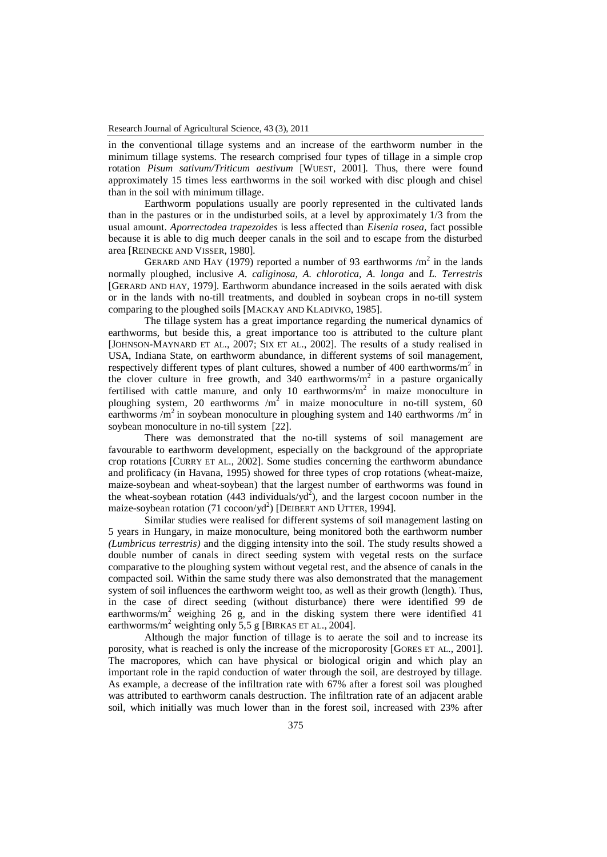in the conventional tillage systems and an increase of the earthworm number in the minimum tillage systems. The research comprised four types of tillage in a simple crop rotation *Pisum sativum/Triticum aestivum* [WUEST, 2001]*.* Thus, there were found approximately 15 times less earthworms in the soil worked with disc plough and chisel than in the soil with minimum tillage.

Earthworm populations usually are poorly represented in the cultivated lands than in the pastures or in the undisturbed soils, at a level by approximately 1/3 from the usual amount. *Aporrectodea trapezoides* is less affected than *Eisenia rosea,* fact possible because it is able to dig much deeper canals in the soil and to escape from the disturbed area [REINECKE AND VISSER, 1980]*.* 

GERARD AND HAY (1979) reported a number of 93 earthworms  $/m<sup>2</sup>$  in the lands normally ploughed, inclusive *A. caliginosa, A. chlorotica, A. longa* and *L. Terrestris*  [GERARD AND HAY, 1979]. Earthworm abundance increased in the soils aerated with disk or in the lands with no-till treatments, and doubled in soybean crops in no-till system comparing to the ploughed soils [MACKAY AND KLADIVKO, 1985].

The tillage system has a great importance regarding the numerical dynamics of earthworms, but beside this, a great importance too is attributed to the culture plant [JOHNSON-MAYNARD ET AL., 2007; SIX ET AL., 2002]. The results of a study realised in USA, Indiana State, on earthworm abundance, in different systems of soil management, respectively different types of plant cultures, showed a number of 400 earthworms/m<sup>2</sup> in the clover culture in free growth, and 340 earthworms/ $m<sup>2</sup>$  in a pasture organically fertilised with cattle manure, and only 10 earthworms/ $m<sup>2</sup>$  in maize monoculture in ploughing system, 20 earthworms  $/m^2$  in maize monoculture in no-till system, 60 earthworms /m<sup>2</sup> in soybean monoculture in ploughing system and 140 earthworms /m<sup>2</sup> in soybean monoculture in no-till system [22].

There was demonstrated that the no-till systems of soil management are favourable to earthworm development, especially on the background of the appropriate crop rotations [CURRY ET AL., 2002]. Some studies concerning the earthworm abundance and prolificacy (in Havana, 1995) showed for three types of crop rotations (wheat-maize, maize-soybean and wheat-soybean) that the largest number of earthworms was found in the wheat-soybean rotation (443 individuals/ $yd^2$ ), and the largest cocoon number in the maize-soybean rotation (71 cocoon/yd<sup>2</sup>) [DEIBERT AND UTTER, 1994].

Similar studies were realised for different systems of soil management lasting on 5 years in Hungary, in maize monoculture, being monitored both the earthworm number *(Lumbricus terrestris)* and the digging intensity into the soil. The study results showed a double number of canals in direct seeding system with vegetal rests on the surface comparative to the ploughing system without vegetal rest, and the absence of canals in the compacted soil. Within the same study there was also demonstrated that the management system of soil influences the earthworm weight too, as well as their growth (length). Thus, in the case of direct seeding (without disturbance) there were identified 99 de earthworms/ $m^2$  weighing 26 g, and in the disking system there were identified 41 earthworms/m<sup>2</sup> weighting only 5,5 g [BIRKAS ET AL., 2004].

Although the major function of tillage is to aerate the soil and to increase its porosity, what is reached is only the increase of the microporosity [GORES ET AL., 2001]. The macropores, which can have physical or biological origin and which play an important role in the rapid conduction of water through the soil, are destroyed by tillage. As example, a decrease of the infiltration rate with 67% after a forest soil was ploughed was attributed to earthworm canals destruction. The infiltration rate of an adjacent arable soil, which initially was much lower than in the forest soil, increased with 23% after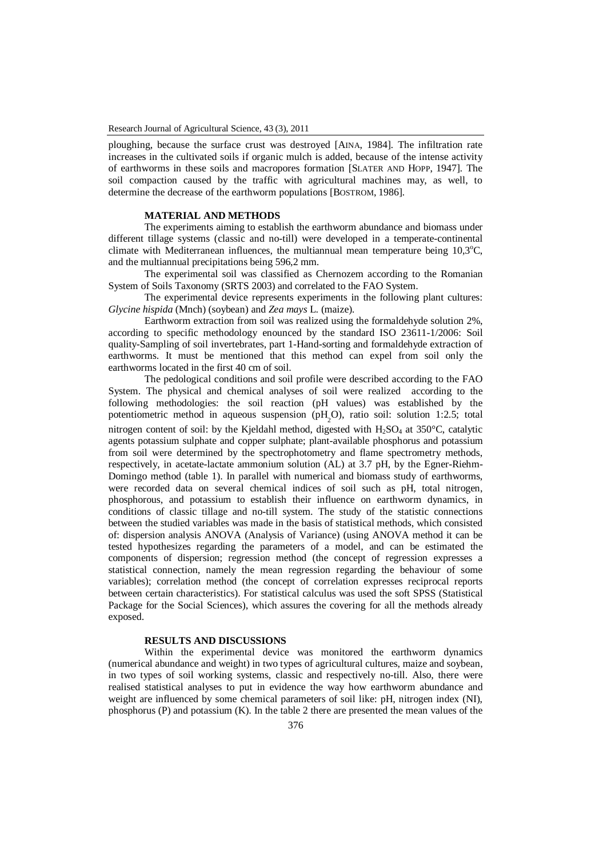ploughing, because the surface crust was destroyed [AINA, 1984]*.* The infiltration rate increases in the cultivated soils if organic mulch is added, because of the intense activity of earthworms in these soils and macropores formation [SLATER AND HOPP, 1947]*.* The soil compaction caused by the traffic with agricultural machines may, as well, to determine the decrease of the earthworm populations [BOSTROM, 1986]*.*

# **MATERIAL AND METHODS**

The experiments aiming to establish the earthworm abundance and biomass under different tillage systems (classic and no-till) were developed in a temperate-continental climate with Mediterranean influences, the multiannual mean temperature being  $10.3^{\circ}$ C, and the multiannual precipitations being 596,2 mm.

The experimental soil was classified as Chernozem according to the Romanian System of Soils Taxonomy (SRTS 2003) and correlated to the FAO System.

The experimental device represents experiments in the following plant cultures: *Glycine hispida* (Mnch) (soybean) and *Zea mays* L. (maize).

Earthworm extraction from soil was realized using the formaldehyde solution 2%, according to specific methodology enounced by the standard ISO 23611-1/2006: Soil quality-Sampling of soil invertebrates, part 1-Hand-sorting and formaldehyde extraction of earthworms. It must be mentioned that this method can expel from soil only the earthworms located in the first 40 cm of soil.

The pedological conditions and soil profile were described according to the FAO System. The physical and chemical analyses of soil were realized according to the following methodologies: the soil reaction (pH values) was established by the potentiometric method in aqueous suspension (pH<sub>2</sub>O), ratio soil: solution 1:2.5; total nitrogen content of soil: by the Kjeldahl method, digested with  $H_2SO_4$  at 350°C, catalytic agents potassium sulphate and copper sulphate; plant-available phosphorus and potassium from soil were determined by the spectrophotometry and flame spectrometry methods, respectively, in acetate-lactate ammonium solution (AL) at 3.7 pH, by the Egner-Riehm-Domingo method (table 1). In parallel with numerical and biomass study of earthworms, were recorded data on several chemical indices of soil such as pH, total nitrogen, phosphorous, and potassium to establish their influence on earthworm dynamics, in conditions of classic tillage and no-till system. The study of the statistic connections between the studied variables was made in the basis of statistical methods, which consisted of: dispersion analysis ANOVA (Analysis of Variance) (using ANOVA method it can be tested hypothesizes regarding the parameters of a model, and can be estimated the components of dispersion; regression method (the concept of regression expresses a statistical connection, namely the mean regression regarding the behaviour of some variables); correlation method (the concept of correlation expresses reciprocal reports between certain characteristics). For statistical calculus was used the soft SPSS (Statistical Package for the Social Sciences), which assures the covering for all the methods already exposed.

# **RESULTS AND DISCUSSIONS**

Within the experimental device was monitored the earthworm dynamics (numerical abundance and weight) in two types of agricultural cultures, maize and soybean, in two types of soil working systems, classic and respectively no-till. Also, there were realised statistical analyses to put in evidence the way how earthworm abundance and weight are influenced by some chemical parameters of soil like: pH, nitrogen index (NI), phosphorus (P) and potassium (K). In the table 2 there are presented the mean values of the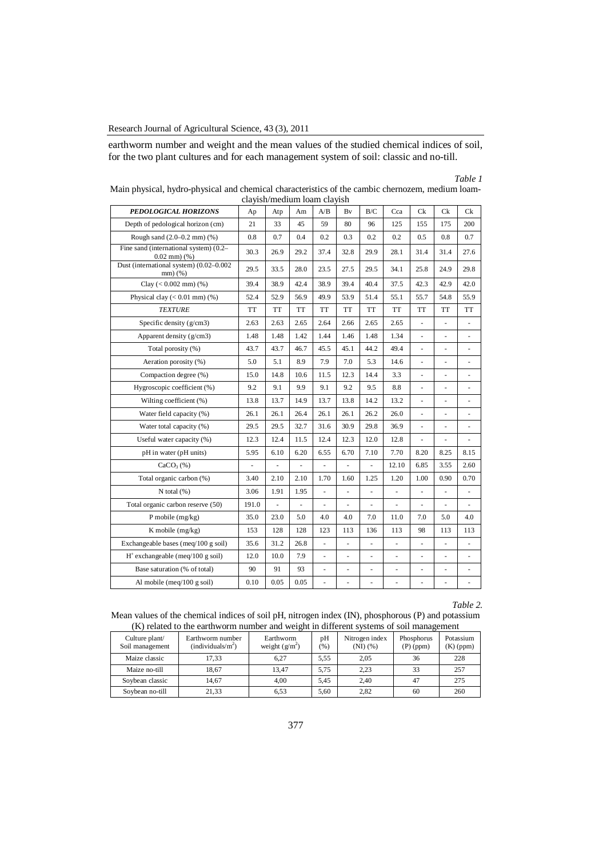earthworm number and weight and the mean values of the studied chemical indices of soil, for the two plant cultures and for each management system of soil: classic and no-till.

# *Table 1*

| PEDOLOGICAL HORIZONS                                        | стаугы/тиссияни тоанг стаугыг<br>Ap | Atp  | Am   | A/B                      | Bv                       | B/C                      | Cca            | Сk                       | Сk             | Сk                       |
|-------------------------------------------------------------|-------------------------------------|------|------|--------------------------|--------------------------|--------------------------|----------------|--------------------------|----------------|--------------------------|
| Depth of pedological horizon (cm)                           | 21                                  | 33   | 45   | 59                       | 80                       | 96                       | 125            | 155                      | 175            | 200                      |
| Rough sand (2.0-0.2 mm) (%)                                 | 0.8                                 | 0.7  | 0.4  | 0.2                      | 0.3                      | 0.2                      | 0.2            | 0.5                      | 0.8            | 0.7                      |
| Fine sand (international system) (0.2-<br>$0.02$ mm $)$ $%$ | 30.3                                | 26.9 | 29.2 | 37.4                     | 32.8                     | 29.9                     | 28.1           | 31.4                     | 31.4           | 27.6                     |
| Dust (international system) (0.02-0.002<br>$mm)$ (%)        | 29.5                                | 33.5 | 28.0 | 23.5                     | 27.5                     | 29.5                     | 34.1           | 25.8                     | 24.9           | 29.8                     |
| Clay $(< 0.002$ mm $)$ $%$                                  | 39.4                                | 38.9 | 42.4 | 38.9                     | 39.4                     | 40.4                     | 37.5           | 42.3                     | 42.9           | 42.0                     |
| Physical clay $(< 0.01$ mm $)$ (%)                          | 52.4                                | 52.9 | 56.9 | 49.9                     | 53.9                     | 51.4                     | 55.1           | 55.7                     | 54.8           | 55.9                     |
| <b>TEXTURE</b>                                              | <b>TT</b>                           | TT   | TT   | <b>TT</b>                | TT                       | <b>TT</b>                | <b>TT</b>      | <b>TT</b>                | <b>TT</b>      | TT                       |
| Specific density $(g/cm3)$                                  | 2.63                                | 2.63 | 2.65 | 2.64                     | 2.66                     | 2.65                     | 2.65           | ÷,                       | ÷,             | $\overline{\phantom{a}}$ |
| Apparent density (g/cm3)                                    | 1.48                                | 1.48 | 1.42 | 1.44                     | 1.46                     | 1.48                     | 1.34           |                          |                |                          |
| Total porosity (%)                                          | 43.7                                | 43.7 | 46.7 | 45.5                     | 45.1                     | 44.2                     | 49.4           | $\blacksquare$           | $\frac{1}{2}$  | $\overline{\phantom{a}}$ |
| Aeration porosity (%)                                       | 5.0                                 | 5.1  | 8.9  | 7.9                      | 7.0                      | 5.3                      | 14.6           |                          |                |                          |
| Compaction degree (%)                                       | 15.0                                | 14.8 | 10.6 | 11.5                     | 12.3                     | 14.4                     | 3.3            | ÷,                       | $\overline{a}$ | ÷,                       |
| Hygroscopic coefficient (%)                                 | 9.2                                 | 9.1  | 9.9  | 9.1                      | 9.2                      | 9.5                      | 8.8            | $\blacksquare$           |                |                          |
| Wilting coefficient (%)                                     | 13.8                                | 13.7 | 14.9 | 13.7                     | 13.8                     | 14.2                     | 13.2           | L.                       | ÷,             | $\overline{a}$           |
| Water field capacity (%)                                    | 26.1                                | 26.1 | 26.4 | 26.1                     | 26.1                     | 26.2                     | 26.0           | ä,                       | ÷,             | ä,                       |
| Water total capacity (%)                                    | 29.5                                | 29.5 | 32.7 | 31.6                     | 30.9                     | 29.8                     | 36.9           | ÷,                       | $\overline{a}$ | ÷,                       |
| Useful water capacity (%)                                   | 12.3                                | 12.4 | 11.5 | 12.4                     | 12.3                     | 12.0                     | 12.8           |                          |                |                          |
| pH in water (pH units)                                      | 5.95                                | 6.10 | 6.20 | 6.55                     | 6.70                     | 7.10                     | 7.70           | 8.20                     | 8.25           | 8.15                     |
| CaCO <sub>3</sub> (%)                                       |                                     | ÷,   |      |                          | ÷,                       |                          | 12.10          | 6.85                     | 3.55           | 2.60                     |
| Total organic carbon (%)                                    | 3.40                                | 2.10 | 2.10 | 1.70                     | 1.60                     | 1.25                     | 1.20           | 1.00                     | 0.90           | 0.70                     |
| $N$ total $(%)$                                             | 3.06                                | 1.91 | 1.95 |                          | $\frac{1}{2}$            |                          |                |                          |                | ÷,                       |
| Total organic carbon reserve (50)                           | 191.0                               | ä,   | ä,   | ÷,                       | ÷,                       | ÷,                       | ä,             | $\overline{\phantom{a}}$ | ÷,             | $\overline{a}$           |
| P mobile $(mg/kg)$                                          | 35.0                                | 23.0 | 5.0  | 4.0                      | 4.0                      | 7.0                      | 11.0           | 7.0                      | 5.0            | 4.0                      |
| K mobile (mg/kg)                                            | 153                                 | 128  | 128  | 123                      | 113                      | 136                      | 113            | 98                       | 113            | 113                      |
| Exchangeable bases ( $\text{meq}/100 \text{ g soil}$ )      | 35.6                                | 31.2 | 26.8 |                          | ÷,                       |                          |                |                          |                | $\overline{a}$           |
| $H^+$ exchangeable (meq/100 g soil)                         | 12.0                                | 10.0 | 7.9  | $\overline{\phantom{a}}$ | ÷,                       | $\overline{\phantom{a}}$ | $\blacksquare$ | $\overline{\phantom{a}}$ | $\frac{1}{2}$  | ÷,                       |
| Base saturation (% of total)                                | 90                                  | 91   | 93   | ä,                       | $\overline{\phantom{0}}$ |                          |                | ÷,                       | ÷,             |                          |
| Al mobile ( $meq/100$ g soil)                               | 0.10                                | 0.05 | 0.05 |                          |                          |                          |                |                          |                |                          |

Main physical, hydro-physical and chemical characteristics of the cambic chernozem, medium loamclayish/medium loam clayish

# *Table 2.*

Mean values of the chemical indices of soil pH, nitrogen index (IN), phosphorous (P) and potassium (K) related to the earthworm number and weight in different systems of soil management

| Culture plant/<br>Soil management | Earthworm number<br>(individuals/m <sup>2</sup> ) | Earthworm<br>weight $(g/m^2)$ | pH<br>(96) | Nitrogen index<br>$(NI)$ $(\% )$ | Phosphorus<br>$(P)$ (ppm) | Potassium<br>$(K)$ (ppm) |
|-----------------------------------|---------------------------------------------------|-------------------------------|------------|----------------------------------|---------------------------|--------------------------|
| Maize classic                     | 17.33                                             | 6.27                          | 5.55       | 2,05                             | 36                        | 228                      |
| Maize no-till                     | 18.67                                             | 13.47                         | 5.75       | 2,23                             | 33                        | 257                      |
| Soybean classic                   | 14.67                                             | 4.00                          | 5.45       | 2.40                             | 47                        | 275                      |
| Soybean no-till                   | 21.33                                             | 6.53                          | 5,60       | 2,82                             | 60                        | 260                      |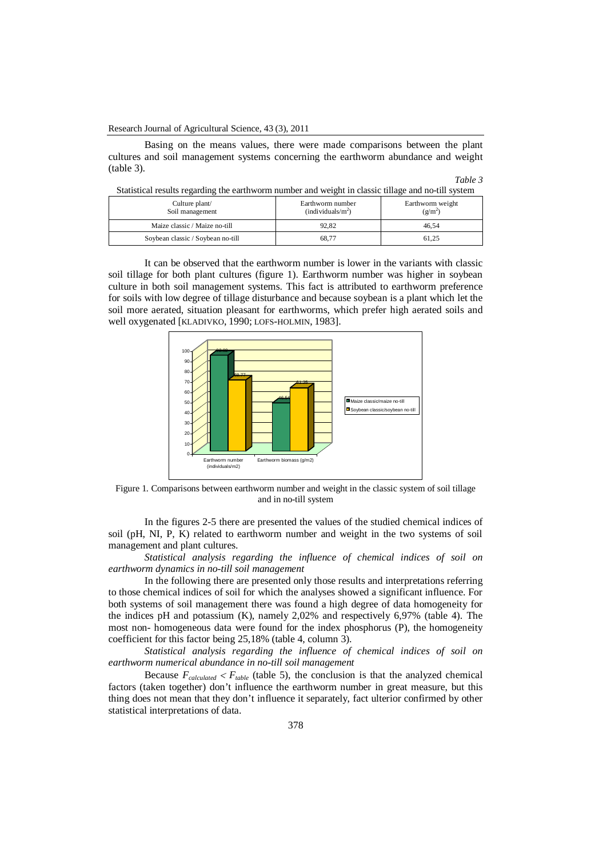Basing on the means values, there were made comparisons between the plant cultures and soil management systems concerning the earthworm abundance and weight (table 3).

| Table |  |
|-------|--|
|-------|--|

| Statistical results regarding the earthworm number and weight in classic tillage and no-till system |  |  |
|-----------------------------------------------------------------------------------------------------|--|--|
|                                                                                                     |  |  |

| Culture plant/<br>Soil management | Earthworm number<br>(individuals/m <sup>2</sup> ) | Earthworm weight<br>$(g/m^2)$ |  |  |
|-----------------------------------|---------------------------------------------------|-------------------------------|--|--|
| Maize classic / Maize no-till     | 92.82                                             | 46.54                         |  |  |
| Soybean classic / Soybean no-till | 68.77                                             | 61.25                         |  |  |

It can be observed that the earthworm number is lower in the variants with classic soil tillage for both plant cultures (figure 1). Earthworm number was higher in soybean culture in both soil management systems. This fact is attributed to earthworm preference for soils with low degree of tillage disturbance and because soybean is a plant which let the soil more aerated, situation pleasant for earthworms, which prefer high aerated soils and well oxygenated [KLADIVKO, 1990; LOFS-HOLMIN, 1983].



Figure 1. Comparisons between earthworm number and weight in the classic system of soil tillage and in no-till system

In the figures 2-5 there are presented the values of the studied chemical indices of soil (pH, NI, P, K) related to earthworm number and weight in the two systems of soil management and plant cultures.

*Statistical analysis regarding the influence of chemical indices of soil on earthworm dynamics in no-till soil management*

In the following there are presented only those results and interpretations referring to those chemical indices of soil for which the analyses showed a significant influence. For both systems of soil management there was found a high degree of data homogeneity for the indices pH and potassium (K), namely 2,02% and respectively 6,97% (table 4). The most non- homogeneous data were found for the index phosphorus (P), the homogeneity coefficient for this factor being 25,18% (table 4, column 3).

*Statistical analysis regarding the influence of chemical indices of soil on earthworm numerical abundance in no-till soil management*

Because  $F_{calculated} < F_{table}$  (table 5), the conclusion is that the analyzed chemical factors (taken together) don't influence the earthworm number in great measure, but this thing does not mean that they don't influence it separately, fact ulterior confirmed by other statistical interpretations of data.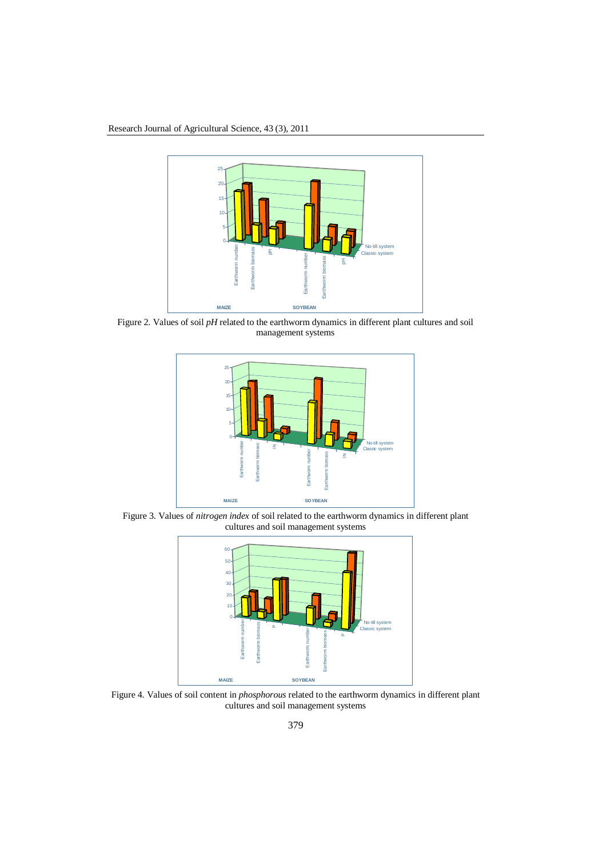

Figure 2. Values of soil *pH* related to the earthworm dynamics in different plant cultures and soil management systems



Figure 3. Values of *nitrogen index* of soil related to the earthworm dynamics in different plant cultures and soil management systems



Figure 4. Values of soil content in *phosphorous* related to the earthworm dynamics in different plant cultures and soil management systems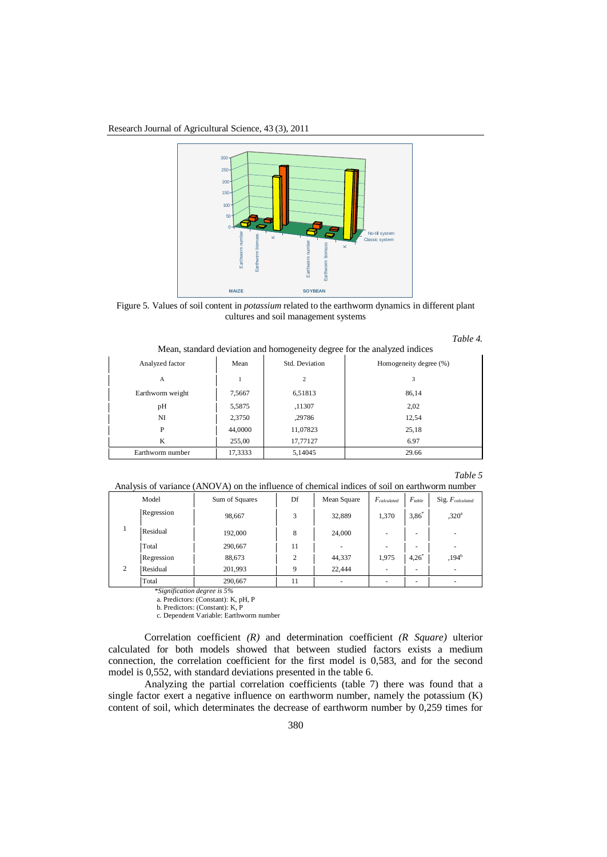Research Journal of Agricultural Science, 43 (3), 2011



Figure 5. Values of soil content in *potassium* related to the earthworm dynamics in different plant cultures and soil management systems

| Table |
|-------|
|-------|

Mean, standard deviation and homogeneity degree for the analyzed indices

| Analyzed factor  | Mean    | Std. Deviation | Homogeneity degree (%) |
|------------------|---------|----------------|------------------------|
| A                |         | 2              | 3                      |
| Earthworm weight | 7,5667  | 6,51813        | 86.14                  |
| pH               | 5,5875  | ,11307         | 2,02                   |
| NI               | 2,3750  | ,29786         | 12,54                  |
| P                | 44,0000 | 11,07823       | 25,18                  |
| K                | 255,00  | 17,77127       | 6.97                   |
| Earthworm number | 17,3333 | 5,14045        | 29.66                  |

#### *Table 5*

Analysis of variance (ANOVA) on the influence of chemical indices of soil on earthworm number

|   | Model      | Sum of Squares | Df       | Mean Square | $F_{calculated}$ | $F_{table}$ | Sig. $F_{calculated}$    |
|---|------------|----------------|----------|-------------|------------------|-------------|--------------------------|
|   | Regression | 98,667<br>3    |          | 32,889      | 1,370            | $3.86*$     | .320 <sup>a</sup>        |
|   | Residual   | 192,000        | 8        | 24,000      | ۰                | ۰           | $\overline{\phantom{a}}$ |
|   | Total      | 290.667        | 11       | ٠           | ۰                | ۰           | -                        |
|   | Regression | 88,673         | $\gamma$ | 44,337      | 1,975            | 4,26        | $,194^{b}$               |
| 2 | Residual   | 201,993        | Q        | 22,444      | ۰                | ۰           |                          |
|   | Total      | 290,667        | 11       | ۰           | ۰                | ۰           |                          |

*\*Signification degree is 5%*

a. Predictors: (Constant): K, pH, P

b. Predictors: (Constant): K, P c. Dependent Variable: Earthworm number

Correlation coefficient *(R)* and determination coefficient *(R Square)* ulterior calculated for both models showed that between studied factors exists a medium connection, the correlation coefficient for the first model is 0,583, and for the second model is 0,552, with standard deviations presented in the table 6.

Analyzing the partial correlation coefficients (table 7) there was found that a single factor exert a negative influence on earthworm number, namely the potassium (K) content of soil, which determinates the decrease of earthworm number by 0,259 times for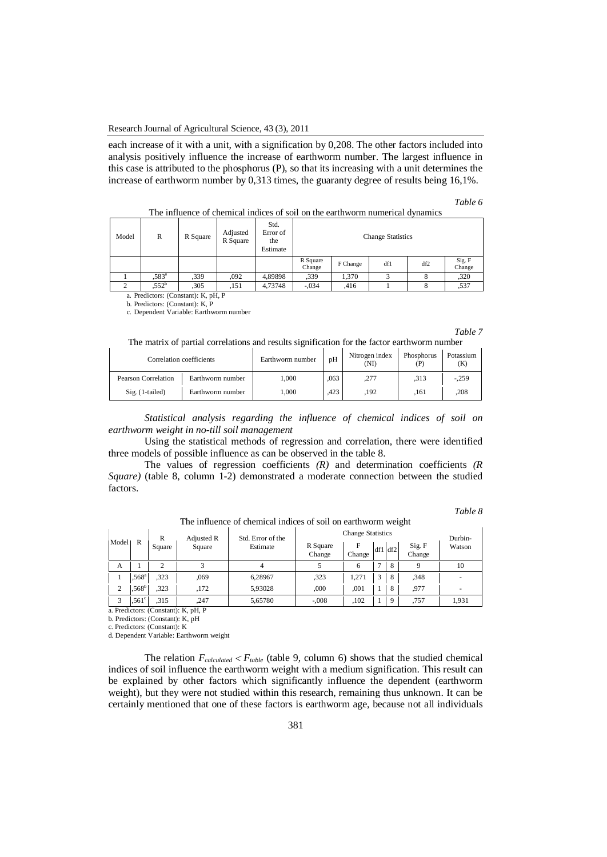### Research Journal of Agricultural Science, 43 (3), 2011

each increase of it with a unit, with a signification by 0,208. The other factors included into analysis positively influence the increase of earthworm number. The largest influence in this case is attributed to the phosphorus (P), so that its increasing with a unit determines the increase of earthworm number by 0,313 times, the guaranty degree of results being 16,1%.

#### *Table 6*

| Model | R                 | R Square | Adjusted<br>R Square | Std.<br>Error of<br>the<br>Estimate | <b>Change Statistics</b> |          |                   |     |                  |  |  |
|-------|-------------------|----------|----------------------|-------------------------------------|--------------------------|----------|-------------------|-----|------------------|--|--|
|       |                   |          |                      |                                     | R Square<br>Change       | F Change | df1               | df2 | Sig. F<br>Change |  |  |
|       | .583 <sup>a</sup> | .339     | .092                 | 4,89898                             | .339                     | 1.370    | $\mathbf{\Omega}$ |     | ,320             |  |  |
|       | $.552^b$          | ,305     | ,151                 | 4,73748                             | $-.034$                  | .416     |                   | 8   | .537             |  |  |

The influence of chemical indices of soil on the earthworm numerical dynamics

a. Predictors: (Constant): K, pH, P

b. Predictors: (Constant): K, P c. Dependent Variable: Earthworm number

*Table 7*

| The matrix of partial correlations and results signification for the factor earthworm number |  |  |  |
|----------------------------------------------------------------------------------------------|--|--|--|
|                                                                                              |  |  |  |

|                     | Correlation coefficients | pH<br>Earthworm number |      | Nitrogen index<br>(NI) | Phosphorus<br>(P) | Potassium<br>(K) |
|---------------------|--------------------------|------------------------|------|------------------------|-------------------|------------------|
| Pearson Correlation | Earthworm number         | 1.000                  | .063 | ,277                   | .313              | $-.259$          |
| $Sig.$ (1-tailed)   | Earthworm number         | 1.000                  | .423 | .192                   | .161              | ,208             |

*Statistical analysis regarding the influence of chemical indices of soil on earthworm weight in no-till soil management*

Using the statistical methods of regression and correlation, there were identified three models of possible influence as can be observed in the table 8.

The values of regression coefficients *(R)* and determination coefficients *(R Square)* (table 8, column 1-2) demonstrated a moderate connection between the studied factors.

## *Table 8*

|       | R<br>Std. Error of the<br>Adjusted R |        | <b>Change Statistics</b> | Durbin-  |                    |             |   |         |                  |        |  |
|-------|--------------------------------------|--------|--------------------------|----------|--------------------|-------------|---|---------|------------------|--------|--|
| Model | R                                    | Square | Square                   | Estimate | R Square<br>Change | F<br>Change |   | df1 df2 | Sig. F<br>Change | Watson |  |
| A     |                                      |        |                          | 4        |                    | 6           | ⇁ |         | Q                | 10     |  |
|       | $.568^{\circ}$                       | ,323   | .069                     | 6.28967  | ,323               | 1.271       | 3 | 8       | .348             |        |  |
| 2     | $.568^{\rm b}$                       | ,323   | ,172                     | 5,93028  | ,000               | .001        |   | 8       | .977             |        |  |
| 3     | .561 <sup>c</sup>                    | .315   | ,247                     | 5.65780  | $-.008$            | .102        |   | 9       | ,757             | 1,931  |  |

The influence of chemical indices of soil on earthworm weight

a. Predictors: (Constant): K, pH, P

b. Predictors: (Constant): K, pH

c. Predictors: (Constant): K

d. Dependent Variable: Earthworm weight

The relation  $F_{calculated} < F_{table}$  (table 9, column 6) shows that the studied chemical indices of soil influence the earthworm weight with a medium signification. This result can be explained by other factors which significantly influence the dependent (earthworm weight), but they were not studied within this research, remaining thus unknown. It can be certainly mentioned that one of these factors is earthworm age, because not all individuals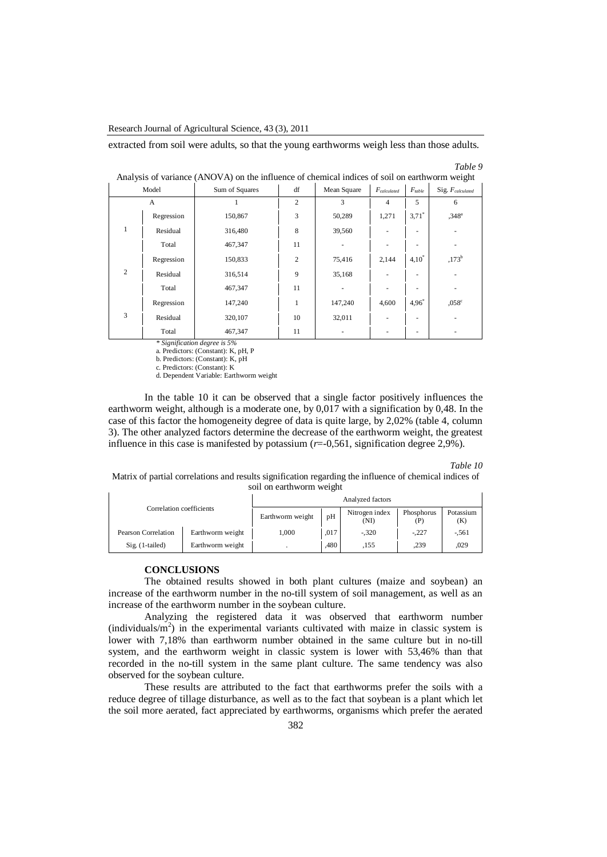Research Journal of Agricultural Science, 43 (3), 2011

extracted from soil were adults, so that the young earthworms weigh less than those adults.

#### *Table 9*

| Model |            | Sum of Squares | df | Mean Square | $F_{calculated}$ | $F_{table}$         | ັ<br>Sig. F <sub>calculated</sub> |
|-------|------------|----------------|----|-------------|------------------|---------------------|-----------------------------------|
| A     |            |                | 2  | 3           | $\overline{4}$   | 5                   | 6                                 |
|       | Regression | 150,867        | 3  | 50,289      | 1,271            | $3.71$ <sup>*</sup> | $,348^{\circ}$                    |
|       | Residual   | 316,480        | 8  | 39,560      |                  |                     |                                   |
|       | Total      | 467,347        | 11 |             |                  |                     |                                   |
| 2     | Regression | 150,833        | 2  | 75,416      | 2,144            | $4,10^*$            | $,173^{b}$                        |
|       | Residual   | 316,514        | 9  | 35,168      |                  |                     |                                   |
|       | Total      | 467,347        | 11 |             |                  |                     |                                   |
| 3     | Regression | 147,240        | 1  | 147,240     | 4,600            | $4,96^*$            | $,058^\circ$                      |
|       | Residual   | 320,107        | 10 | 32,011      |                  |                     | ۰                                 |
|       | Total      | 467,347        | 11 |             |                  |                     |                                   |

|  | Analysis of variance (ANOVA) on the influence of chemical indices of soil on earthworm weight |  |
|--|-----------------------------------------------------------------------------------------------|--|
|  |                                                                                               |  |

*\* Signification degree is 5%*

a. Predictors: (Constant): K, pH, P

b. Predictors: (Constant): K, pH

c. Predictors: (Constant): K

d. Dependent Variable: Earthworm weight

In the table 10 it can be observed that a single factor positively influences the earthworm weight, although is a moderate one, by 0,017 with a signification by 0,48. In the case of this factor the homogeneity degree of data is quite large, by 2,02% (table 4, column 3). The other analyzed factors determine the decrease of the earthworm weight, the greatest influence in this case is manifested by potassium (*r*=-0,561, signification degree 2,9%).

*Table 10*

Matrix of partial correlations and results signification regarding the influence of chemical indices of soil on earthworm weight

| Correlation coefficients |                  | Analyzed factors |      |                        |                   |                  |  |
|--------------------------|------------------|------------------|------|------------------------|-------------------|------------------|--|
|                          |                  | Earthworm weight | pH   | Nitrogen index<br>(NI) | Phosphorus<br>(P) | Potassium<br>(K) |  |
| Pearson Correlation      | Earthworm weight | 000.1            | .017 | $-.320$                | $-.227$           | $-.561$          |  |
| Sig. (1-tailed)          | Earthworm weight |                  | .480 | ,155                   | .239              | .029             |  |

## **CONCLUSIONS**

The obtained results showed in both plant cultures (maize and soybean) an increase of the earthworm number in the no-till system of soil management, as well as an increase of the earthworm number in the soybean culture.

Analyzing the registered data it was observed that earthworm number (individuals/ $m<sup>2</sup>$ ) in the experimental variants cultivated with maize in classic system is lower with 7,18% than earthworm number obtained in the same culture but in no-till system, and the earthworm weight in classic system is lower with 53,46% than that recorded in the no-till system in the same plant culture. The same tendency was also observed for the soybean culture.

These results are attributed to the fact that earthworms prefer the soils with a reduce degree of tillage disturbance, as well as to the fact that soybean is a plant which let the soil more aerated, fact appreciated by earthworms, organisms which prefer the aerated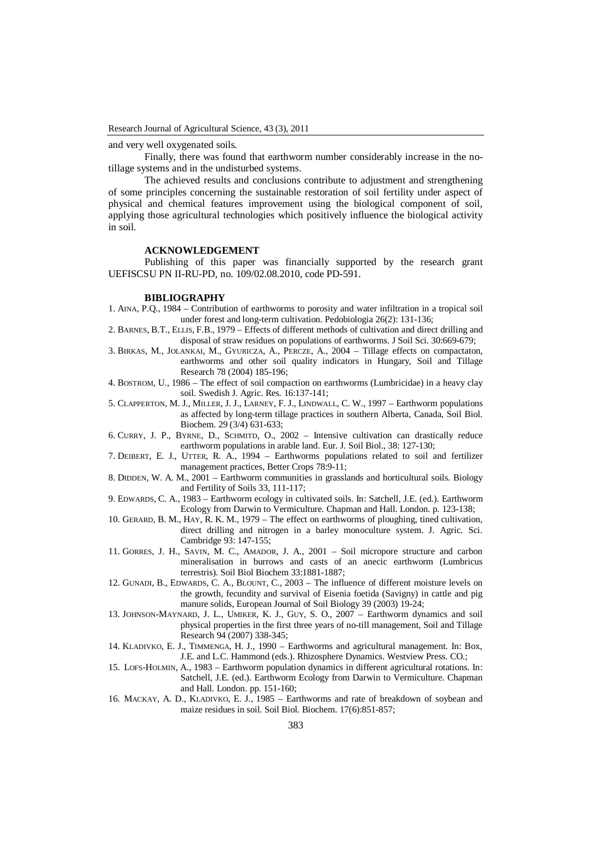and very well oxygenated soils.

Finally, there was found that earthworm number considerably increase in the notillage systems and in the undisturbed systems.

The achieved results and conclusions contribute to adjustment and strengthening of some principles concerning the sustainable restoration of soil fertility under aspect of physical and chemical features improvement using the biological component of soil, applying those agricultural technologies which positively influence the biological activity in soil.

#### **ACKNOWLEDGEMENT**

Publishing of this paper was financially supported by the research grant UEFISCSU PN II-RU-PD, no. 109/02.08.2010, code PD-591.

#### **BIBLIOGRAPHY**

- 1. AINA, P.Q., 1984 Contribution of earthworms to porosity and water infiltration in a tropical soil under forest and long-term cultivation. Pedobiologia 26(2): 131-136;
- 2. BARNES, B.T., ELLIS, F.B., 1979 Effects of different methods of cultivation and direct drilling and disposal of straw residues on populations of earthworms. J Soil Sci. 30:669-679;
- 3. BIRKAS, M., JOLANKAI, M., GYURICZA, A., PERCZE, A., 2004 Tillage effects on compactaton, earthworms and other soil quality indicators in Hungary, Soil and Tillage Research 78 (2004) 185-196;
- 4. BOSTROM, U., 1986 The effect of soil compaction on earthworms (Lumbricidae) in a heavy clay soil. Swedish J. Agric. Res. 16:137-141;
- 5. CLAPPERTON, M. J., MILLER, J. J., LARNEY, F. J., LINDWALL, C. W., 1997 Earthworm populations as affected by long-term tillage practices in southern Alberta, Canada, Soil Biol. Biochem. 29 (3/4) 631-633;
- 6. CURRY, J. P., BYRNE, D., SCHMITD, O., 2002 Intensive cultivation can drastically reduce earthworm populations in arable land. Eur. J. Soil Biol., 38: 127-130;
- 7. DEIBERT, E. J., UTTER, R. A., 1994 Earthworms populations related to soil and fertilizer management practices, Better Crops 78:9-11;
- 8. DIDDEN, W. A. M., 2001 Earthworm communities in grasslands and horticultural soils. Biology and Fertility of Soils 33, 111-117;
- 9. EDWARDS, C. A., 1983 Earthworm ecology in cultivated soils. In: Satchell, J.E. (ed.). Earthworm Ecology from Darwin to Vermiculture. Chapman and Hall. London. p. 123-138;
- 10. GERARD, B. M., HAY, R. K. M., 1979 The effect on earthworms of ploughing, tined cultivation, direct drilling and nitrogen in a barley monoculture system. J. Agric. Sci. Cambridge 93: 147-155;
- 11. GORRES, J. H., SAVIN, M. C., AMADOR, J. A., 2001 Soil micropore structure and carbon mineralisation in burrows and casts of an anecic earthworm (Lumbricus terrestris). Soil Biol Biochem 33:1881-1887;
- 12. GUNADI, B., EDWARDS, C. A., BLOUNT, C., 2003 The influence of different moisture levels on the growth, fecundity and survival of Eisenia foetida (Savigny) in cattle and pig manure solids, European Journal of Soil Biology 39 (2003) 19-24;
- 13. JOHNSON-MAYNARD, J. L., UMIKER, K. J., GUY, S. O., 2007 Earthworm dynamics and soil physical properties in the first three years of no-till management, Soil and Tillage Research 94 (2007) 338-345;
- 14. KLADIVKO, E. J., TIMMENGA, H. J., 1990 Earthworms and agricultural management. In: Box, J.E. and L.C. Hammond (eds.). Rhizosphere Dynamics. Westview Press. CO.;
- 15. LOFS-HOLMIN, A., 1983 Earthworm population dynamics in different agricultural rotations. In: Satchell, J.E. (ed.). Earthworm Ecology from Darwin to Vermiculture. Chapman and Hall. London. pp. 151-160;
- 16. MACKAY, A. D., KLADIVKO, E. J., 1985 Earthworms and rate of breakdown of soybean and maize residues in soil. Soil Biol. Biochem. 17(6):851-857;